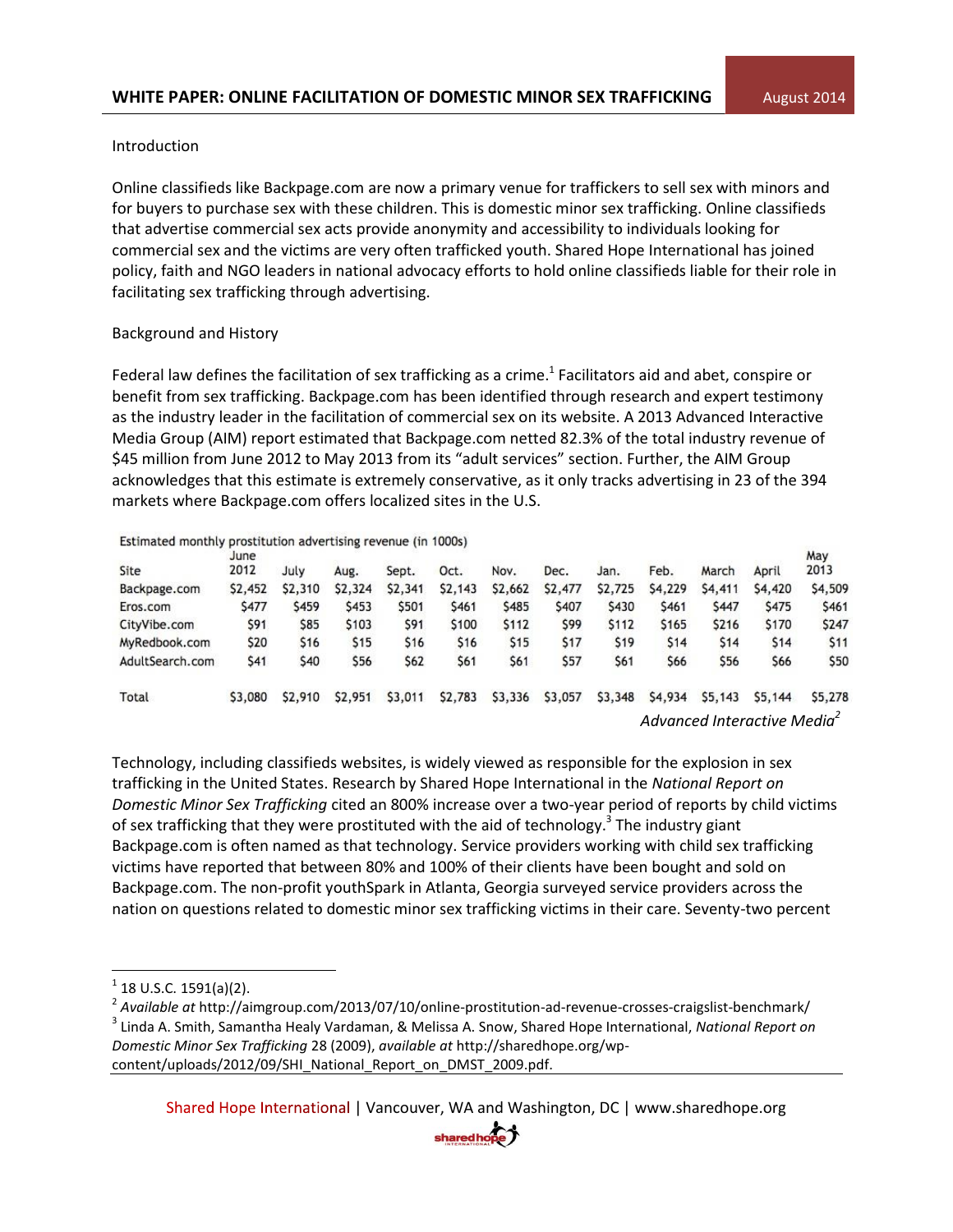### Introduction

Online classifieds like Backpage.com are now a primary venue for traffickers to sell sex with minors and for buyers to purchase sex with these children. This is domestic minor sex trafficking. Online classifieds that advertise commercial sex acts provide anonymity and accessibility to individuals looking for commercial sex and the victims are very often trafficked youth. Shared Hope International has joined policy, faith and NGO leaders in national advocacy efforts to hold online classifieds liable for their role in facilitating sex trafficking through advertising.

## Background and History

Federal law defines the facilitation of sex trafficking as a crime.<sup>1</sup> Facilitators aid and abet, conspire or benefit from sex trafficking. Backpage.com has been identified through research and expert testimony as the industry leader in the facilitation of commercial sex on its website. A 2013 Advanced Interactive Media Group (AIM) report estimated that Backpage.com netted 82.3% of the total industry revenue of \$45 million from June 2012 to May 2013 from its "adult services" section. Further, the AIM Group acknowledges that this estimate is extremely conservative, as it only tracks advertising in 23 of the 394 markets where Backpage.com offers localized sites in the U.S.

#### Estimated monthly prostitution advertising revenue (in 1000s)

| Site            | June<br>2012 | July    | Aug.       | Sept.   | Oct.    | Nov.        | Dec.       | Jan.       | Feb.                                    | March       | April      | May<br>2013 |
|-----------------|--------------|---------|------------|---------|---------|-------------|------------|------------|-----------------------------------------|-------------|------------|-------------|
| Backpage.com    | \$2,452      | \$2,310 | \$2,324    | \$2,341 | \$2,143 | \$2,662     | \$2,477    | \$2,725    | \$4,229                                 | \$4,411     | \$4,420    | \$4,509     |
| Eros.com        | <b>S477</b>  | \$459   | \$453      | \$501   | \$461   | \$485       | \$407      | \$430      | \$461                                   | <b>S447</b> | \$475      | \$461       |
| CityVibe.com    | \$91         | \$85    | \$103      | \$91    | \$100   | <b>S112</b> | <b>S99</b> | \$112      | \$165                                   | \$216       | \$170      | \$247       |
| MyRedbook.com   | \$20         | \$16    | <b>S15</b> | \$16    | \$16    | \$15        | \$17       | <b>S19</b> | \$14                                    | \$14        | <b>S14</b> | <b>S11</b>  |
| AdultSearch.com | \$41         | \$40    | \$56       | \$62    | \$61    | \$61        | \$57       | <b>S61</b> | \$66                                    | \$56        | \$66       | \$50        |
| Total           | \$3,080      | \$2,910 | \$2,951    | \$3,011 | \$2,783 | \$3,336     | \$3,057    | \$3,348    | \$4,934                                 | \$5,143     | \$5,144    | \$5,278     |
|                 |              |         |            |         |         |             |            |            | Advanced Interactive Media <sup>2</sup> |             |            |             |

Technology, including classifieds websites, is widely viewed as responsible for the explosion in sex trafficking in the United States. Research by Shared Hope International in the *National Report on Domestic Minor Sex Trafficking* cited an 800% increase over a two-year period of reports by child victims of sex trafficking that they were prostituted with the aid of technology.<sup>3</sup> The industry giant Backpage.com is often named as that technology. Service providers working with child sex trafficking victims have reported that between 80% and 100% of their clients have been bought and sold on Backpage.com. The non-profit youthSpark in Atlanta, Georgia surveyed service providers across the nation on questions related to domestic minor sex trafficking victims in their care. Seventy-two percent

 $\overline{a}$ 



 $^{1}$  18 U.S.C. 1591(a)(2).

<sup>2</sup> *Available at* http://aimgroup.com/2013/07/10/online-prostitution-ad-revenue-crosses-craigslist-benchmark/ 3 Linda A. Smith, Samantha Healy Vardaman, & Melissa A. Snow, Shared Hope International, *National Report on Domestic Minor Sex Trafficking* 28 (2009), *available at* http://sharedhope.org/wpcontent/uploads/2012/09/SHI\_National\_Report\_on\_DMST\_2009.pdf.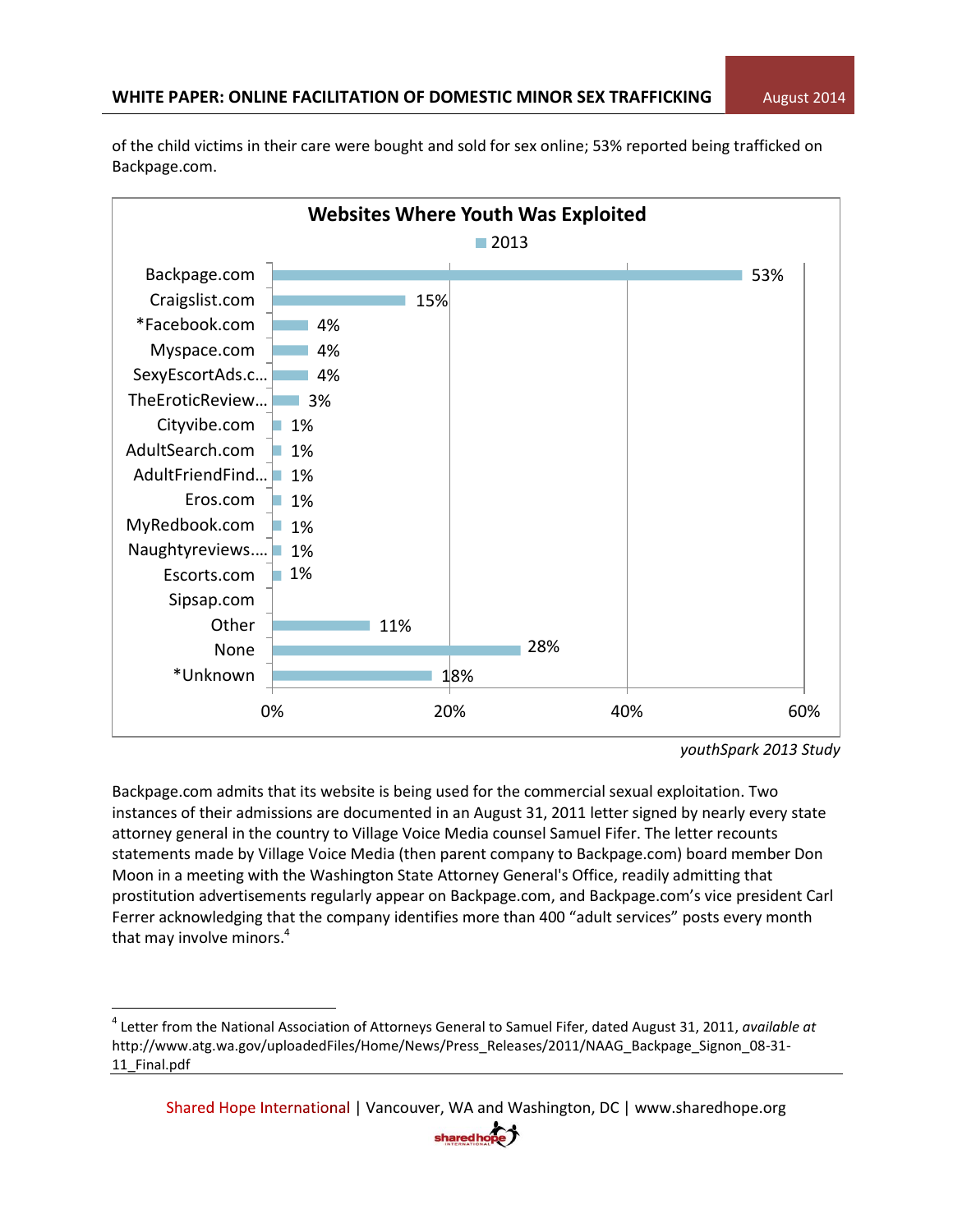18% 28% 11% 1%  $\Box$  1% 1% 1% AdultFriendFind… <mark>1%</mark> 1% 1% 3% 4% 4% 4% 15% 53% 0% 20% 40% 60% \*Unknown None **Other** Sipsap.com Escorts.com Naughtyreviews.… MyRedbook.com Eros.com AdultSearch.com Cityvibe.com TheEroticReview… SexyEscortAds.c… Myspace.com \*Facebook.com Craigslist.com Backpage.com **Websites Where Youth Was Exploited** ■2013

of the child victims in their care were bought and sold for sex online; 53% reported being trafficked on Backpage.com.

Backpage.com admits that its website is being used for the commercial sexual exploitation. Two instances of their admissions are documented in an August 31, 2011 letter signed by nearly every state attorney general in the country to Village Voice Media counsel Samuel Fifer. The letter recounts statements made by Village Voice Media (then parent company to Backpage.com) board member Don Moon in a meeting with the Washington State Attorney General's Office, readily admitting that prostitution advertisements regularly appear on Backpage.com, and Backpage.com's vice president Carl Ferrer acknowledging that the company identifies more than 400 "adult services" posts every month that may involve minors.<sup>4</sup>

l



*youthSpark 2013 Study*

<sup>4</sup> Letter from the National Association of Attorneys General to Samuel Fifer, dated August 31, 2011, *available at* http://www.atg.wa.gov/uploadedFiles/Home/News/Press\_Releases/2011/NAAG\_Backpage\_Signon\_08-31- 11 Final.pdf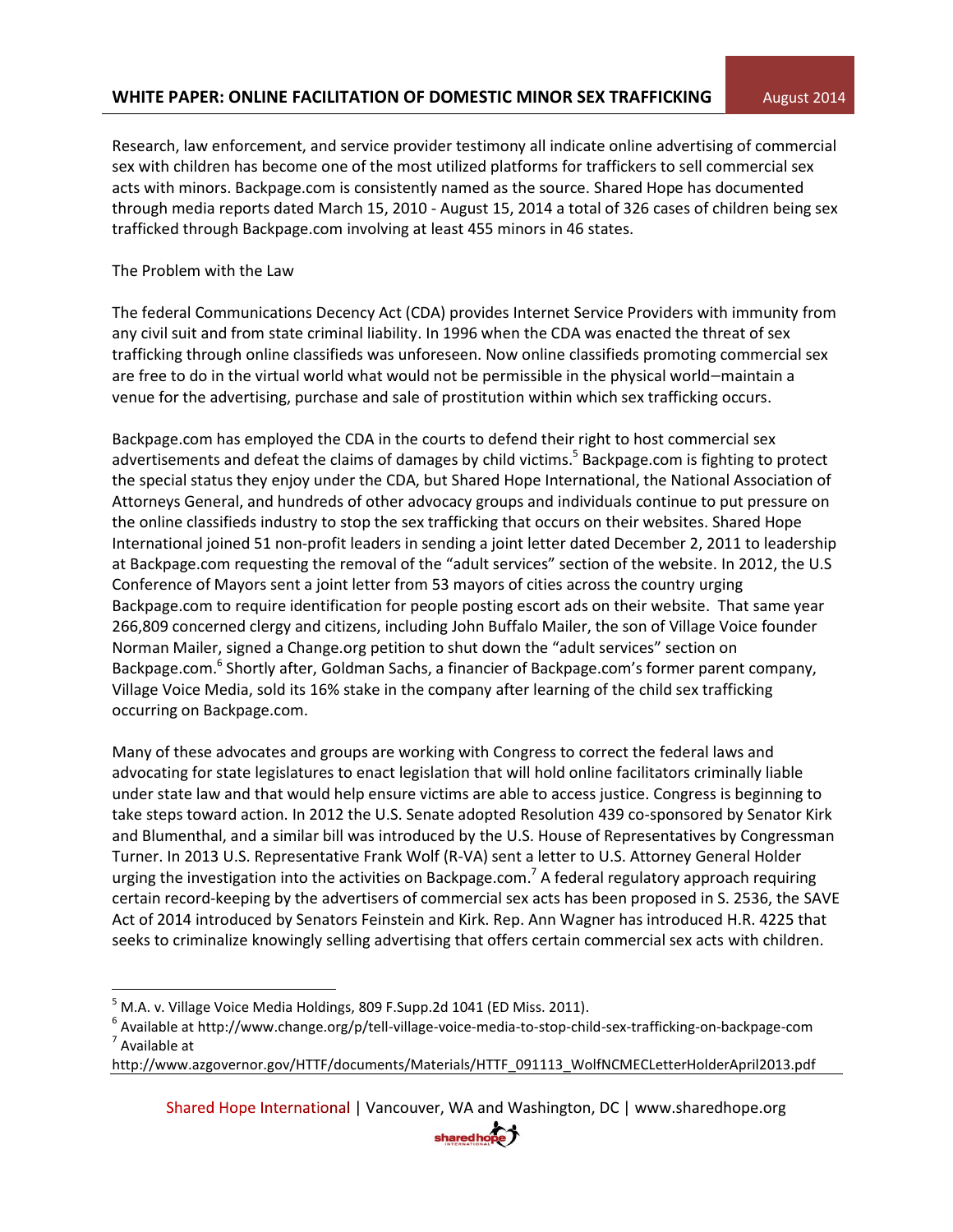# **WHITE PAPER: ONLINE FACILITATION OF DOMESTIC MINOR SEX TRAFFICKING August 2014**

Research, law enforcement, and service provider testimony all indicate online advertising of commercial sex with children has become one of the most utilized platforms for traffickers to sell commercial sex acts with minors. Backpage.com is consistently named as the source. Shared Hope has documented through media reports dated March 15, 2010 - August 15, 2014 a total of 326 cases of children being sex trafficked through Backpage.com involving at least 455 minors in 46 states.

## The Problem with the Law

 $\overline{\phantom{a}}$ 

The federal Communications Decency Act (CDA) provides Internet Service Providers with immunity from any civil suit and from state criminal liability. In 1996 when the CDA was enacted the threat of sex trafficking through online classifieds was unforeseen. Now online classifieds promoting commercial sex are free to do in the virtual world what would not be permissible in the physical world—maintain a venue for the advertising, purchase and sale of prostitution within which sex trafficking occurs.

Backpage.com has employed the CDA in the courts to defend their right to host commercial sex advertisements and defeat the claims of damages by child victims.<sup>5</sup> Backpage.com is fighting to protect the special status they enjoy under the CDA, but Shared Hope International, the National Association of Attorneys General, and hundreds of other advocacy groups and individuals continue to put pressure on the online classifieds industry to stop the sex trafficking that occurs on their websites. Shared Hope International joined 51 non-profit leaders in sending a joint letter dated December 2, 2011 to leadership at Backpage.com requesting the removal of the "adult services" section of the website. In 2012, the U.S Conference of Mayors sent a joint letter from 53 mayors of cities across the country urging Backpage.com to require identification for people posting escort ads on their website. That same year 266,809 concerned clergy and citizens, including John Buffalo Mailer, the son of Village Voice founder Norman Mailer, signed a Change.org petition to shut down the "adult services" section on Backpage.com.<sup>6</sup> Shortly after, [Goldman Sachs](http://www.nytimes.com/2012/04/01/opinion/sunday/kristof-financers-and-sex-trafficking.html), a financier of Backpage.com's former parent company, Village Voice Media, sold its 16% stake in the company after learning of the child sex trafficking occurring on Backpage.com.

Many of these advocates and groups are working with Congress to correct the federal laws and advocating for state legislatures to enact legislation that will hold online facilitators criminally liable under state law and that would help ensure victims are able to access justice. Congress is beginning to take steps toward action. In 2012 the U.S. Senate adopted Resolution 439 co-sponsored by Senator Kirk and Blumenthal, and a similar bill was introduced by the U.S. House of Representatives by Congressman Turner. In 2013 U.S. Representative Frank Wolf (R-VA) sent a letter to U.S. Attorney General Holder urging the investigation into the activities on Backpage.com.<sup>7</sup> A federal regulatory approach requiring certain record-keeping by the advertisers of commercial sex acts has been proposed in S. 2536, the SAVE Act of 2014 introduced by Senators Feinstein and Kirk. Rep. Ann Wagner has introduced H.R. 4225 that seeks to criminalize knowingly selling advertising that offers certain commercial sex acts with children.

http://www.azgovernor.gov/HTTF/documents/Materials/HTTF\_091113\_WolfNCMECLetterHolderApril2013.pdf



 $<sup>5</sup>$  M.A. v. Village Voice Media Holdings, 809 F.Supp.2d 1041 (ED Miss. 2011).</sup>

<sup>&</sup>lt;sup>6</sup> Available at http://www.change.org/p/tell-village-voice-media-to-stop-child-sex-trafficking-on-backpage-com <sup>7</sup> Available at